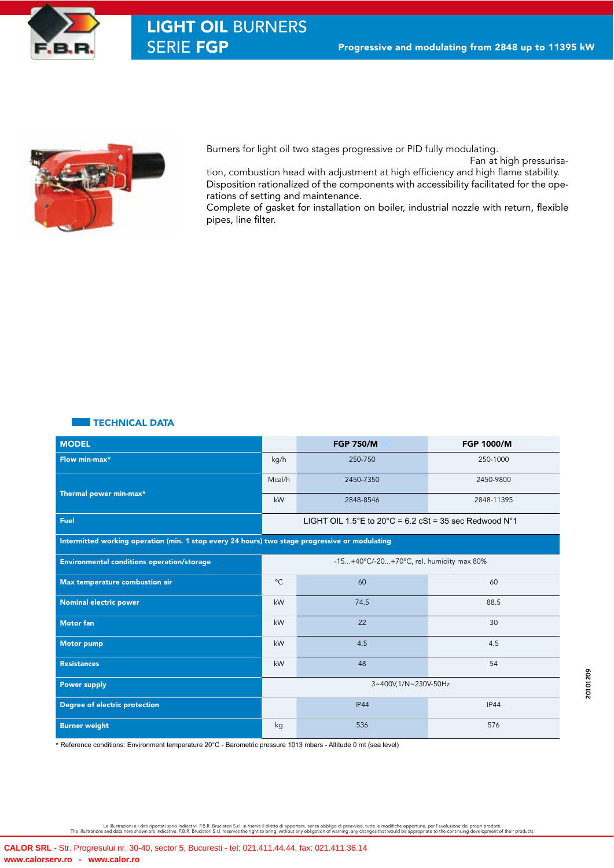



Burners for light oil two stages progressive or PID fully modulating.

Fan at high pressurisa-

tion, combustion head with adjustment at high efficiency and high flame stability. Disposition rationalized of the components with accessibility facilitated for the operations of setting and maintenance.

Complete of gasket for installation on boiler, industrial nozzle with return, flexible pipes, line filter.

## TECHNICAL DATA

| <b>MODEL</b>                                                                                   |                                                                 | <b>FGP 750/M</b> | <b>FGP 1000/M</b> |  |  |  |  |  |
|------------------------------------------------------------------------------------------------|-----------------------------------------------------------------|------------------|-------------------|--|--|--|--|--|
| Flow min-max*                                                                                  | kg/h                                                            | 250-750          | 250-1000          |  |  |  |  |  |
|                                                                                                | Mcal/h                                                          | 2450-7350        | 2450-9800         |  |  |  |  |  |
| Thermal power min-max*                                                                         | kW                                                              | 2848-8546        | 2848-11395        |  |  |  |  |  |
| Fuel                                                                                           | LIGHT OIL 1.5°E to 20°C = 6.2 cSt = 35 sec Redwood $N^{\circ}1$ |                  |                   |  |  |  |  |  |
| Intermitted working operation (min. 1 stop every 24 hours) two stage progressive or modulating |                                                                 |                  |                   |  |  |  |  |  |
| <b>Environmental conditions operation/storage</b>                                              | -15+40°C/-20+70°C, rel. humidity max 80%                        |                  |                   |  |  |  |  |  |
| Max temperature combustion air                                                                 |                                                                 | 60               | 60                |  |  |  |  |  |
| Nominal electric power                                                                         |                                                                 | 74.5             | 88.5              |  |  |  |  |  |
| <b>Motor fan</b>                                                                               |                                                                 | 22               | 30                |  |  |  |  |  |
| <b>Motor pump</b>                                                                              | kW                                                              | 4.5              | 4.5               |  |  |  |  |  |
| <b>Resistances</b>                                                                             | kW                                                              | 48               | 54                |  |  |  |  |  |
| <b>Power supply</b>                                                                            | 3~400V,1/N~230V-50Hz                                            |                  |                   |  |  |  |  |  |
| Degree of electric protection                                                                  |                                                                 | IP44             | IP44              |  |  |  |  |  |
| <b>Burner weight</b>                                                                           |                                                                 | 536              | 576               |  |  |  |  |  |

\* Reference conditions: Environment temperature 20°C - Barometric pressure 1013 mbars - Altitude 0 mt (sea level)